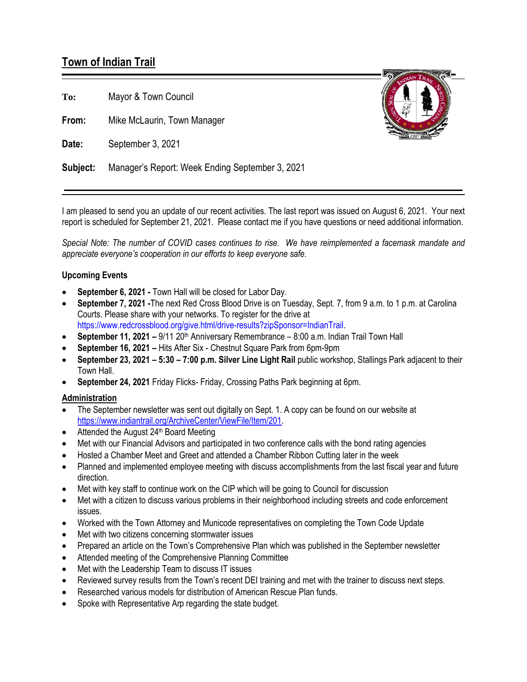# **Town of Indian Trail**

**To:** Mayor & Town Council

**From:** Mike McLaurin, Town Manager

**Date:** September 3, 2021



**Subject:** Manager's Report: Week Ending September 3, 2021

I am pleased to send you an update of our recent activities. The last report was issued on August 6, 2021. Your next report is scheduled for September 21, 2021. Please contact me if you have questions or need additional information.

*Special Note: The number of COVID cases continues to rise. We have reimplemented a facemask mandate and appreciate everyone's cooperation in our efforts to keep everyone safe.*

## **Upcoming Events**

- **September 6, 2021 -** Town Hall will be closed for Labor Day.
- **September 7, 2021 -**The next Red Cross Blood Drive is on Tuesday, Sept. 7, from 9 a.m. to 1 p.m. at Carolina Courts. Please share with your networks. To register for the drive at [https://www.redcrossblood.org/give.html/drive-results?zipSponsor=IndianTrail.](https://www.redcrossblood.org/give.html/drive-results?zipSponsor=IndianTrail)
- **September 11, 2021 9/11 20<sup>th</sup> Anniversary Remembrance 8:00 a.m. Indian Trail Town Hall**
- **September 16, 2021 –** Hits After Six Chestnut Square Park from 6pm-9pm
- **September 23, 2021 – 5:30 – 7:00 p.m. Silver Line Light Rail** public workshop, Stallings Park adjacent to their Town Hall.
- **September 24, 2021** Friday Flicks- Friday, Crossing Paths Park beginning at 6pm.

### **Administration**

- The September newsletter was sent out digitally on Sept. 1. A copy can be found on our website at [https://www.indiantrail.org/ArchiveCenter/ViewFile/Item/201.](https://www.indiantrail.org/ArchiveCenter/ViewFile/Item/201)
- Attended the August  $24<sup>th</sup>$  Board Meeting
- Met with our Financial Advisors and participated in two conference calls with the bond rating agencies
- Hosted a Chamber Meet and Greet and attended a Chamber Ribbon Cutting later in the week
- Planned and implemented employee meeting with discuss accomplishments from the last fiscal year and future direction.
- Met with key staff to continue work on the CIP which will be going to Council for discussion
- Met with a citizen to discuss various problems in their neighborhood including streets and code enforcement issues.
- Worked with the Town Attorney and Municode representatives on completing the Town Code Update
- Met with two citizens concerning stormwater issues
- Prepared an article on the Town's Comprehensive Plan which was published in the September newsletter
- Attended meeting of the Comprehensive Planning Committee
- Met with the Leadership Team to discuss IT issues
- Reviewed survey results from the Town's recent DEI training and met with the trainer to discuss next steps.
- Researched various models for distribution of American Rescue Plan funds.
- Spoke with Representative Arp regarding the state budget.